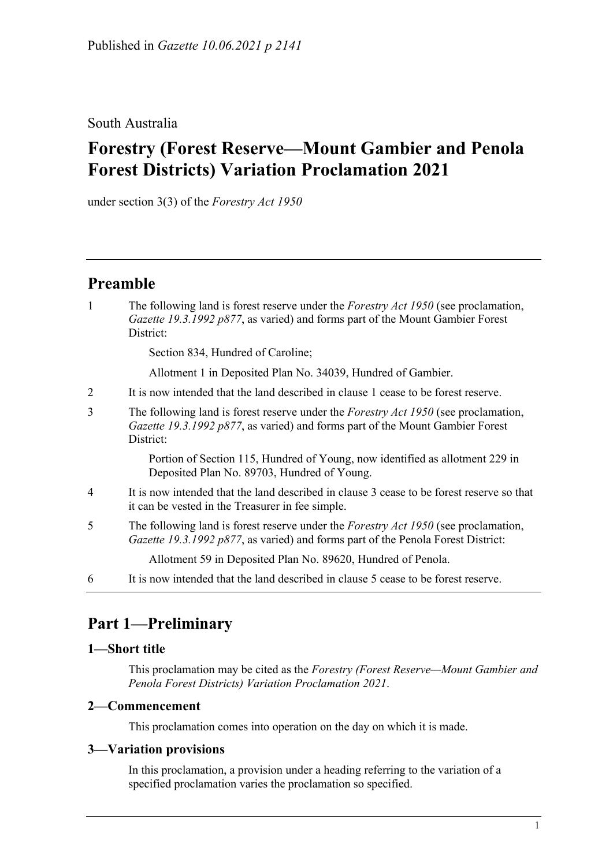### South Australia

# **Forestry (Forest Reserve—Mount Gambier and Penola Forest Districts) Variation Proclamation 2021**

under section 3(3) of the *Forestry Act 1950*

### **Preamble**

1 The following land is forest reserve under the *[Forestry Act](http://www.legislation.sa.gov.au/index.aspx?action=legref&type=act&legtitle=Forestry%20Act%201950) 1950* (see proclamation, *Gazette 19.3.1992 p877*, as varied) and forms part of the Mount Gambier Forest District:

Section 834, Hundred of Caroline;

Allotment 1 in Deposited Plan No. 34039, Hundred of Gambier.

- 2 It is now intended that the land described in clause 1 cease to be forest reserve.
- 3 The following land is forest reserve under the *[Forestry Act](http://www.legislation.sa.gov.au/index.aspx?action=legref&type=act&legtitle=Forestry%20Act%201950) 1950* (see proclamation, *Gazette 19.3.1992 p877*, as varied) and forms part of the Mount Gambier Forest District:

Portion of Section 115, Hundred of Young, now identified as allotment 229 in Deposited Plan No. 89703, Hundred of Young.

- 4 It is now intended that the land described in clause 3 cease to be forest reserve so that it can be vested in the Treasurer in fee simple.
- 5 The following land is forest reserve under the *[Forestry Act](http://www.legislation.sa.gov.au/index.aspx?action=legref&type=act&legtitle=Forestry%20Act%201950) 1950* (see proclamation, *Gazette 19.3.1992 p877*, as varied) and forms part of the Penola Forest District:

Allotment 59 in Deposited Plan No. 89620, Hundred of Penola.

6 It is now intended that the land described in clause 5 cease to be forest reserve.

## **Part 1—Preliminary**

#### **1—Short title**

This proclamation may be cited as the *Forestry (Forest Reserve—Mount Gambier and Penola Forest Districts) Variation Proclamation 2021*.

#### **2—Commencement**

This proclamation comes into operation on the day on which it is made.

#### **3—Variation provisions**

In this proclamation, a provision under a heading referring to the variation of a specified proclamation varies the proclamation so specified.